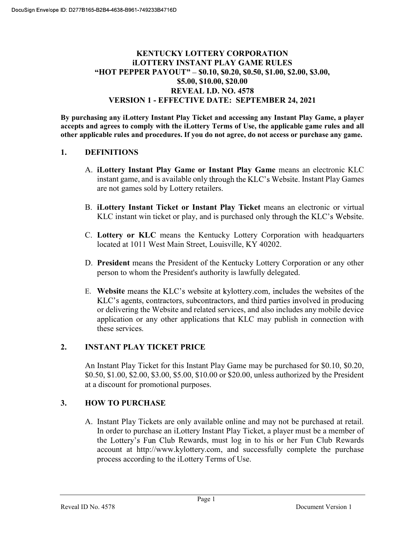## KENTUCKY LOTTERY CORPORATION iLOTTERY INSTANT PLAY GAME RULES "HOT PEPPER PAYOUT" - \$0.10, \$0.20, \$0.50, \$1.00, \$2.00, \$3.00, \$5.00, \$10.00, \$20.00 REVEAL I.D. NO. 4578 VERSION 1 - EFFECTIVE DATE: SEPTEMBER 24, 2021

By purchasing any iLottery Instant Play Ticket and accessing any Instant Play Game, a player accepts and agrees to comply with the iLottery Terms of Use, the applicable game rules and all other applicable rules and procedures. If you do not agree, do not access or purchase any game.

### 1. DEFINITIONS

- A. iLottery Instant Play Game or Instant Play Game means an electronic KLC instant game, and is available only through the KLC's Website. Instant Play Games are not games sold by Lottery retailers.
- B. iLottery Instant Ticket or Instant Play Ticket means an electronic or virtual KLC instant win ticket or play, and is purchased only through the KLC's Website.
- C. Lottery or KLC means the Kentucky Lottery Corporation with headquarters located at 1011 West Main Street, Louisville, KY 40202.
- D. President means the President of the Kentucky Lottery Corporation or any other person to whom the President's authority is lawfully delegated.
- E. Website means the KLC's website at kylottery.com, includes the websites of the KLC's agents, contractors, subcontractors, and third parties involved in producing or delivering the Website and related services, and also includes any mobile device application or any other applications that KLC may publish in connection with these services.

### 2. INSTANT PLAY TICKET PRICE

An Instant Play Ticket for this Instant Play Game may be purchased for \$0.10, \$0.20, \$0.50, \$1.00, \$2.00, \$3.00, \$5.00, \$10.00 or \$20.00, unless authorized by the President at a discount for promotional purposes.

## 3. HOW TO PURCHASE

A. Instant Play Tickets are only available online and may not be purchased at retail. In order to purchase an iLottery Instant Play Ticket, a player must be a member of the Lottery's Fun Club Rewards, must log in to his or her Fun Club Rewards account at http://www.kylottery.com, and successfully complete the purchase process according to the iLottery Terms of Use.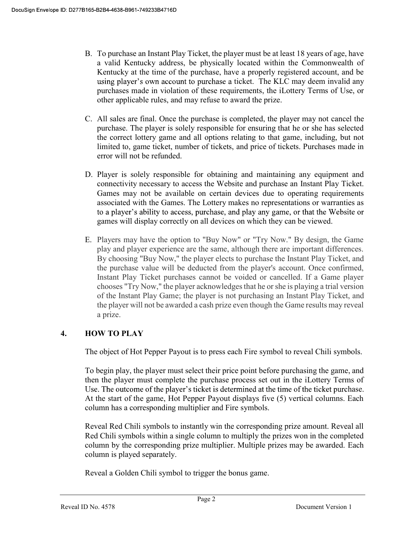- B. To purchase an Instant Play Ticket, the player must be at least 18 years of age, have a valid Kentucky address, be physically located within the Commonwealth of Kentucky at the time of the purchase, have a properly registered account, and be using player's own account to purchase a ticket. The KLC may deem invalid any purchases made in violation of these requirements, the iLottery Terms of Use, or other applicable rules, and may refuse to award the prize.
- C. All sales are final. Once the purchase is completed, the player may not cancel the purchase. The player is solely responsible for ensuring that he or she has selected the correct lottery game and all options relating to that game, including, but not limited to, game ticket, number of tickets, and price of tickets. Purchases made in error will not be refunded.
- D. Player is solely responsible for obtaining and maintaining any equipment and connectivity necessary to access the Website and purchase an Instant Play Ticket. Games may not be available on certain devices due to operating requirements associated with the Games. The Lottery makes no representations or warranties as to a player's ability to access, purchase, and play any game, or that the Website or games will display correctly on all devices on which they can be viewed.
- E. Players may have the option to "Buy Now" or "Try Now." By design, the Game play and player experience are the same, although there are important differences. By choosing "Buy Now," the player elects to purchase the Instant Play Ticket, and the purchase value will be deducted from the player's account. Once confirmed, Instant Play Ticket purchases cannot be voided or cancelled. If a Game player chooses "Try Now," the player acknowledges that he or she is playing a trial version of the Instant Play Game; the player is not purchasing an Instant Play Ticket, and the player will not be awarded a cash prize even though the Game results may reveal a prize.

# 4. HOW TO PLAY

The object of Hot Pepper Payout is to press each Fire symbol to reveal Chili symbols.

To begin play, the player must select their price point before purchasing the game, and then the player must complete the purchase process set out in the iLottery Terms of Use. The outcome of the player's ticket is determined at the time of the ticket purchase. At the start of the game, Hot Pepper Payout displays five (5) vertical columns. Each column has a corresponding multiplier and Fire symbols.

Reveal Red Chili symbols to instantly win the corresponding prize amount. Reveal all Red Chili symbols within a single column to multiply the prizes won in the completed column by the corresponding prize multiplier. Multiple prizes may be awarded. Each column is played separately.

Reveal a Golden Chili symbol to trigger the bonus game.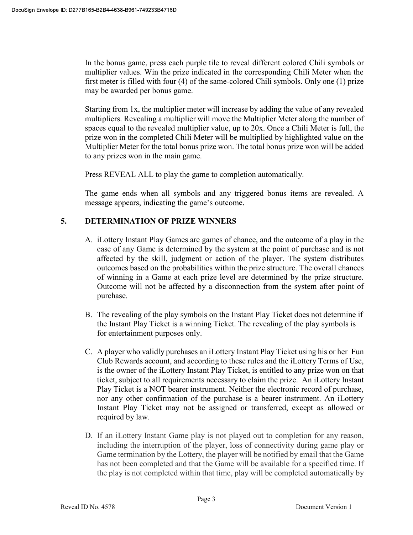In the bonus game, press each purple tile to reveal different colored Chili symbols or multiplier values. Win the prize indicated in the corresponding Chili Meter when the first meter is filled with four (4) of the same-colored Chili symbols. Only one (1) prize may be awarded per bonus game.

Starting from 1x, the multiplier meter will increase by adding the value of any revealed multipliers. Revealing a multiplier will move the Multiplier Meter along the number of spaces equal to the revealed multiplier value, up to 20x. Once a Chili Meter is full, the prize won in the completed Chili Meter will be multiplied by highlighted value on the Multiplier Meter for the total bonus prize won. The total bonus prize won will be added to any prizes won in the main game.

Press REVEAL ALL to play the game to completion automatically.

The game ends when all symbols and any triggered bonus items are revealed. A message appears, indicating the game's outcome.

# 5. DETERMINATION OF PRIZE WINNERS

- A. iLottery Instant Play Games are games of chance, and the outcome of a play in the case of any Game is determined by the system at the point of purchase and is not affected by the skill, judgment or action of the player. The system distributes outcomes based on the probabilities within the prize structure. The overall chances of winning in a Game at each prize level are determined by the prize structure. Outcome will not be affected by a disconnection from the system after point of purchase.
- B. The revealing of the play symbols on the Instant Play Ticket does not determine if the Instant Play Ticket is a winning Ticket. The revealing of the play symbols is for entertainment purposes only.
- C. A player who validly purchases an iLottery Instant Play Ticket using his or her Fun Club Rewards account, and according to these rules and the iLottery Terms of Use, is the owner of the iLottery Instant Play Ticket, is entitled to any prize won on that ticket, subject to all requirements necessary to claim the prize. An iLottery Instant Play Ticket is a NOT bearer instrument. Neither the electronic record of purchase, nor any other confirmation of the purchase is a bearer instrument. An iLottery Instant Play Ticket may not be assigned or transferred, except as allowed or required by law.
- D. If an iLottery Instant Game play is not played out to completion for any reason, including the interruption of the player, loss of connectivity during game play or Game termination by the Lottery, the player will be notified by email that the Game has not been completed and that the Game will be available for a specified time. If the play is not completed within that time, play will be completed automatically by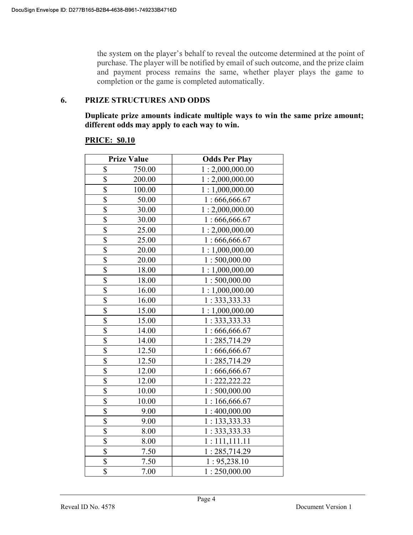the system on the player's behalf to reveal the outcome determined at the point of purchase. The player will be notified by email of such outcome, and the prize claim and payment process remains the same, whether player plays the game to completion or the game is completed automatically.

#### 6. PRIZE STRUCTURES AND ODDS

Duplicate prize amounts indicate multiple ways to win the same prize amount; different odds may apply to each way to win.

#### PRICE: \$0.10

|                         | <b>Prize Value</b> | <b>Odds Per Play</b> |
|-------------------------|--------------------|----------------------|
| \$                      | 750.00             | 1:2,000,000.00       |
| \$                      | 200.00             | 1:2,000,000.00       |
| \$                      | 100.00             | 1:1,000,000.00       |
| $\overline{\$}$         | 50.00              | 1:666,666.67         |
| $\overline{\$}$         | 30.00              | 1:2,000,000.00       |
| $\overline{\$}$         | 30.00              | 1:666,666.67         |
| $\overline{\mathbb{S}}$ | 25.00              | 1:2,000,000.00       |
| $\overline{\$}$         | 25.00              | 1:666,666.67         |
| \$                      | 20.00              | 1:1,000,000.00       |
| $\overline{\$}$         | 20.00              | 1:500,000.00         |
| \$                      | 18.00              | 1:1,000,000.00       |
| \$                      | 18.00              | 1:500,000.00         |
| \$                      | 16.00              | 1:1,000,000.00       |
| \$                      | 16.00              | 1: 333, 333.33       |
| $\overline{\mathbb{S}}$ | 15.00              | 1:1,000,000.00       |
| $\overline{\$}$         | 15.00              | 1: 333, 333.33       |
| $\overline{\$}$         | 14.00              | 1:666,666.67         |
| \$                      | 14.00              | 1:285,714.29         |
| \$                      | 12.50              | 1:666,666.67         |
| $\overline{\$}$         | 12.50              | 1:285,714.29         |
| $\overline{\mathbb{S}}$ | 12.00              | 1:666,666.67         |
| \$                      | 12.00              | 1: 222, 222.22       |
| \$                      | 10.00              | 1:500,000.00         |
| \$                      | 10.00              | 1:166,666.67         |
| $\overline{\$}$         | 9.00               | 1:400,000.00         |
| $\overline{\mathbb{S}}$ | 9.00               | 1: 133,333.33        |
| $\overline{\$}$         | 8.00               | 1: 333, 333.33       |
| \$                      | 8.00               | 1:111,111.11         |
| \$                      | 7.50               | 1:285,714.29         |
| \$                      | 7.50               | 1:95,238.10          |
| \$                      | 7.00               | 1:250,000.00         |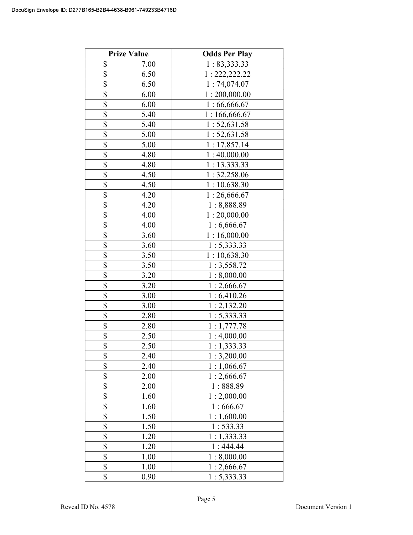|                          | <b>Prize Value</b> | <b>Odds Per Play</b> |
|--------------------------|--------------------|----------------------|
| \$                       | 7.00               | 1: 83,333.33         |
| \$                       | 6.50               | 1: 222, 222.22       |
| \$                       | 6.50               | 1:74,074.07          |
| \$                       | 6.00               | 1:200,000.00         |
| \$                       | 6.00               | 1:66,666.67          |
| \$                       | 5.40               | 1:166,666.67         |
| \$                       | 5.40               | 1:52,631.58          |
| \$                       | 5.00               | 1:52,631.58          |
| \$                       | 5.00               | 1:17,857.14          |
| \$                       | 4.80               | 1:40,000.00          |
| \$                       | 4.80               | 1:13,333.33          |
| \$                       | 4.50               | 1: 32,258.06         |
| $\overline{\mathcal{S}}$ | 4.50               | 1:10,638.30          |
| $\overline{\mathcal{S}}$ | 4.20               | 1:26,666.67          |
| \$                       | 4.20               | 1:8,888.89           |
| $\overline{\mathcal{S}}$ | 4.00               | 1:20,000.00          |
| \$                       | 4.00               | 1:6,666.67           |
| \$                       | 3.60               | 1:16,000.00          |
| \$                       | 3.60               | 1:5,333.33           |
| \$                       | 3.50               | 1:10,638.30          |
| \$                       | 3.50               | 1:3,558.72           |
| \$                       | 3.20               | 1:8,000.00           |
| \$                       | 3.20               | 1:2,666.67           |
| \$                       | 3.00               | 1:6,410.26           |
| \$                       | 3.00               | 1:2,132.20           |
| \$                       | 2.80               | 1:5,333.33           |
| \$                       | 2.80               | 1:1,777.78           |
| \$                       | 2.50               | 1:4,000.00           |
| $\overline{\mathbb{S}}$  | 2.50               | 1:1,333.33           |
| \$                       | 2.40               | 1:3,200.00           |
| \$                       | 2.40               | 1:1,066.67           |
| \$                       | 2.00               | 1:2,666.67           |
| \$                       | 2.00               | 1:888.89             |
| \$                       | 1.60               | 1:2,000.00           |
| \$                       | 1.60               | 1:666.67             |
| \$                       | 1.50               | 1:1,600.00           |
| $\overline{\$}$          | 1.50               | 1: 533.33            |
| \$                       | 1.20               | 1:1,333.33           |
| \$                       | 1.20               | 1:444.44             |
| \$                       | 1.00               | 1:8,000.00           |
| \$                       | 1.00               | 1:2,666.67           |
| \$                       | 0.90               | 1: 5,333.33          |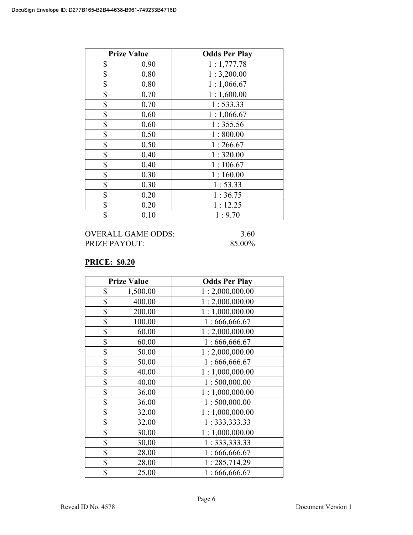| <b>Prize Value</b> | <b>Odds Per Play</b> |
|--------------------|----------------------|
| \$<br>0.90         | 1:1,777.78           |
| \$<br>0.80         | 1:3,200.00           |
| \$<br>0.80         | 1:1,066.67           |
| \$<br>0.70         | 1:1,600.00           |
| \$<br>0.70         | 1: 533.33            |
| \$<br>0.60         | 1:1,066.67           |
| \$<br>0.60         | 1:355.56             |
| \$<br>0.50         | 1:800.00             |
| \$<br>0.50         | 1:266.67             |
| \$<br>0.40         | 1:320.00             |
| \$<br>0.40         | 1:106.67             |
| \$<br>0.30         | 1:160.00             |
| \$<br>0.30         | 1:53.33              |
| \$<br>0.20         | 1:36.75              |
| \$<br>0.20         | 1:12.25              |
| \$<br>0.10         | 1:9.70               |

## PRICE: \$0.20

| <b>Prize Value</b> | <b>Odds Per Play</b> |
|--------------------|----------------------|
| \$<br>1,500.00     | 1:2,000,000.00       |
| \$<br>400.00       | 1:2,000,000.00       |
| \$<br>200.00       | 1:1,000,000.00       |
| \$<br>100.00       | 1:666,666.67         |
| \$<br>60.00        | 1:2,000,000.00       |
| \$<br>60.00        | 1:666,666.67         |
| \$<br>50.00        | 1:2,000,000.00       |
| \$<br>50.00        | 1:666,666.67         |
| \$<br>40.00        | 1:1,000,000.00       |
| \$<br>40.00        | 1:500,000.00         |
| \$<br>36.00        | 1:1,000,000.00       |
| \$<br>36.00        | 1:500,000.00         |
| \$<br>32.00        | 1:1,000,000.00       |
| \$<br>32.00        | 1: 333, 333.33       |
| \$<br>30.00        | 1:1,000,000.00       |
| \$<br>30.00        | 1: 333, 333.33       |
| \$<br>28.00        | 1:666,666.67         |
| \$<br>28.00        | 1:285,714.29         |
| \$<br>25.00        | 1:666,666.67         |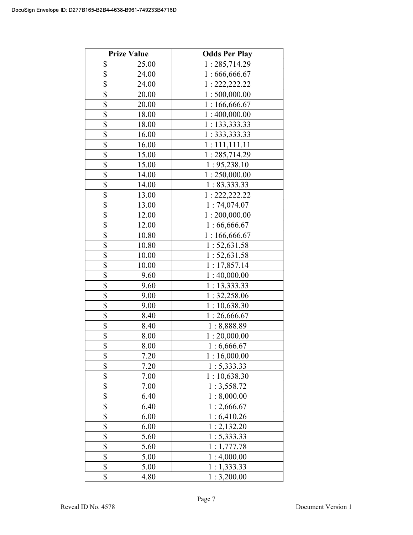| <b>Prize Value</b> | <b>Odds Per Play</b> |
|--------------------|----------------------|
| \$<br>25.00        | 1:285,714.29         |
| \$<br>24.00        | 1:666,666.67         |
| \$<br>24.00        | 1: 222, 222.22       |
| \$<br>20.00        | 1:500,000.00         |
| \$<br>20.00        | 1:166,666.67         |
| \$<br>18.00        | 1:400,000.00         |
| \$<br>18.00        | 1: 133,333.33        |
| \$<br>16.00        | 1: 333, 333.33       |
| \$<br>16.00        | 1:111,111.11         |
| \$<br>15.00        | 1:285,714.29         |
| \$<br>15.00        | 1: 95,238.10         |
| \$<br>14.00        | 1:250,000.00         |
| \$<br>14.00        | 1: 83,333.33         |
| \$<br>13.00        | 1: 222, 222.22       |
| \$<br>13.00        | 1:74,074.07          |
| \$<br>12.00        | 1:200,000.00         |
| \$<br>12.00        | 1:66,666.67          |
| \$<br>10.80        | 1:166,666.67         |
| \$<br>10.80        | 1:52,631.58          |
| \$<br>10.00        | 1: 52, 631.58        |
| \$<br>10.00        | 1:17,857.14          |
| \$<br>9.60         | 1:40,000.00          |
| \$<br>9.60         | 1:13,333.33          |
| \$<br>9.00         | 1: 32,258.06         |
| \$<br>9.00         | 1:10,638.30          |
| \$<br>8.40         | 1:26,666.67          |
| \$<br>8.40         | 1:8,888.89           |
| \$<br>8.00         | 1:20,000.00          |
| \$<br>8.00         | 1:6,666.67           |
| \$<br>7.20         | 1:16,000.00          |
| \$<br>7.20         | 1: 5,333.33          |
| \$<br>7.00         | 1:10,638.30          |
| \$<br>7.00         | 1:3,558.72           |
| \$<br>6.40         | 1:8,000.00           |
| \$<br>6.40         | 1:2,666.67           |
| \$<br>6.00         | 1:6,410.26           |
| \$<br>6.00         | 1:2,132.20           |
| \$<br>5.60         | 1: 5,333.33          |
| \$<br>5.60         | 1:1,777.78           |
| \$<br>5.00         | 1:4,000.00           |
| \$<br>5.00         | 1:1,333.33           |
| \$<br>4.80         | 1:3,200.00           |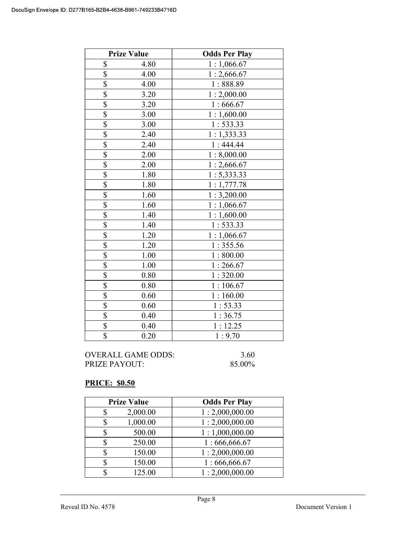|                         | <b>Prize Value</b> | <b>Odds Per Play</b> |
|-------------------------|--------------------|----------------------|
| \$                      | 4.80               | 1:1,066.67           |
| \$                      | 4.00               | 1:2,666.67           |
| \$                      | 4.00               | 1:888.89             |
| $\overline{\mathbb{S}}$ | 3.20               | 1:2,000.00           |
| $\overline{\$}$         | 3.20               | 1:666.67             |
| $\overline{\$}$         | 3.00               | 1:1,600.00           |
|                         | 3.00               | 1: 533.33            |
| $rac{1}{3}$             | 2.40               | 1:1,333.33           |
| $\overline{\$}$         | 2.40               | 1:444.44             |
| $\overline{\$}$         | 2.00               | 1:8,000.00           |
| $\overline{\$}$         | 2.00               | 1:2,666.67           |
| $\overline{\$}$         | 1.80               | 1: 5,333.33          |
| $\overline{\$}$         | 1.80               | 1:1,777.78           |
| $\overline{\$}$         | 1.60               | 1:3,200.00           |
| $\overline{\mathbb{S}}$ | 1.60               | 1:1,066.67           |
| \$                      | 1.40               | 1:1,600.00           |
| $\overline{\$}$         | 1.40               | 1: 533.33            |
| $\overline{\$}$         | 1.20               | 1:1,066.67           |
| \$                      | 1.20               | 1:355.56             |
| \$                      | 1.00               | 1:800.00             |
| \$                      | 1.00               | 1:266.67             |
| \$                      | 0.80               | 1:320.00             |
| \$                      | 0.80               | 1:106.67             |
| $\overline{\$}$         | 0.60               | 1:160.00             |
| \$                      | 0.60               | 1:53.33              |
| $\overline{\$}$         | 0.40               | 1:36.75              |
| \$                      | 0.40               | 1:12.25              |
| \$                      | 0.20               | 1:9.70               |

# PRICE: \$0.50

| <b>Prize Value</b> |          | <b>Odds Per Play</b> |
|--------------------|----------|----------------------|
|                    | 2,000.00 | 1:2,000,000.00       |
|                    | 1,000.00 | 1:2,000,000.00       |
|                    | 500.00   | 1:1,000,000.00       |
|                    | 250.00   | 1:666,666.67         |
|                    | 150.00   | 1:2,000,000.00       |
|                    | 150.00   | 1:666,666.67         |
|                    | 125.00   | 1:2,000,000.00       |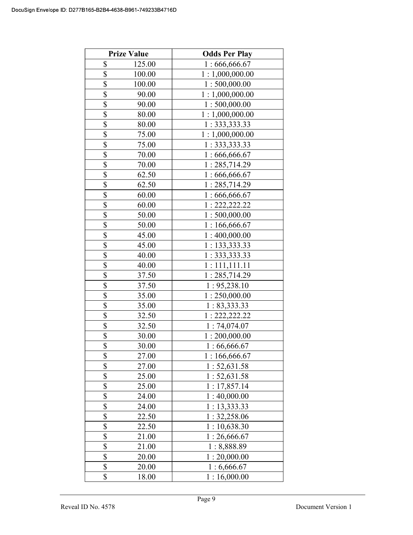|                          | <b>Prize Value</b> | <b>Odds Per Play</b> |
|--------------------------|--------------------|----------------------|
| \$                       | 125.00             | 1:666,666.67         |
| $\overline{\$}$          | 100.00             | 1:1,000,000.00       |
| \$                       | 100.00             | 1:500,000.00         |
| $\overline{\$}$          | 90.00              | 1:1,000,000.00       |
| $\overline{\$}$          | 90.00              | 1:500,000.00         |
| \$                       | 80.00              | 1:1,000,000.00       |
| \$                       | 80.00              | 1: 333, 333.33       |
| \$                       | 75.00              | 1:1,000,000.00       |
| \$                       | 75.00              | 1: 333, 333.33       |
| \$                       | 70.00              | 1:666,666.67         |
| \$                       | 70.00              | 1:285,714.29         |
| $\overline{\$}$          | 62.50              | 1:666,666.67         |
| \$                       | 62.50              | 1:285,714.29         |
| \$                       | 60.00              | 1:666,666.67         |
| \$                       | 60.00              | 1: 222, 222.22       |
| \$                       | 50.00              | 1:500,000.00         |
| \$                       | 50.00              | 1:166,666.67         |
| $\overline{\mathbb{S}}$  | 45.00              | 1:400,000.00         |
| $\overline{\mathcal{S}}$ | 45.00              | 1: 133,333.33        |
| \$                       | 40.00              | 1: 333, 333.33       |
| \$                       | 40.00              | 1:111,111.11         |
| \$                       | 37.50              | 1:285,714.29         |
| \$                       | 37.50              | 1: 95,238.10         |
| \$                       | 35.00              | 1:250,000.00         |
| \$                       | 35.00              | 1: 83,333.33         |
| \$                       | 32.50              | 1:222,222.22         |
| \$                       | 32.50              | 1:74,074.07          |
| \$                       | 30.00              | 1:200,000.00         |
| $\overline{\mathbb{S}}$  | 30.00              | 1:66,666.67          |
| \$                       | 27.00              | 1:166,666.67         |
| \$                       | 27.00              | 1:52,631.58          |
| \$                       | 25.00              | 1: 52, 631.58        |
| \$                       | 25.00              | 1:17,857.14          |
| \$                       | 24.00              | 1:40,000.00          |
| $\overline{\mathbb{S}}$  | 24.00              | 13,333.33            |
| \$                       | 22.50              | 1: 32,258.06         |
| \$                       | 22.50              | 1:10,638.30          |
| \$                       | 21.00              | 1:26,666.67          |
| \$                       | 21.00              | 1:8,888.89           |
| \$                       | 20.00              | 1:20,000.00          |
| \$                       | 20.00              | 1:6,666.67           |
| \$                       | 18.00              | 1:16,000.00          |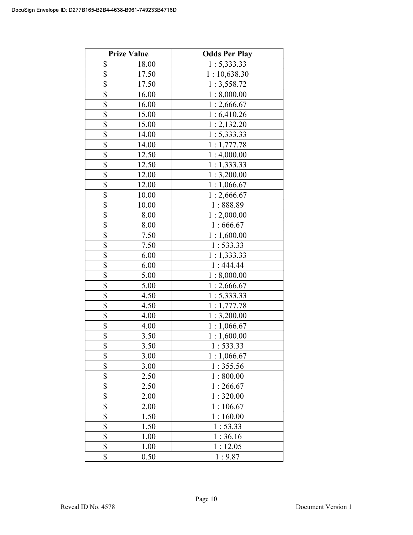|                          | <b>Prize Value</b> | <b>Odds Per Play</b> |
|--------------------------|--------------------|----------------------|
| \$                       | 18.00              | 1: 5,333.33          |
| \$                       | 17.50              | 1:10,638.30          |
| \$                       | 17.50              | 1:3,558.72           |
| \$                       | 16.00              | 1:8,000.00           |
| \$                       | 16.00              | 1:2,666.67           |
| \$                       | 15.00              | 1:6,410.26           |
| \$                       | 15.00              | 1:2,132.20           |
| $\overline{\$}$          | 14.00              | 1: 5,333.33          |
| \$                       | 14.00              | 1:1,777.78           |
| \$                       | 12.50              | 1:4,000.00           |
| \$                       | 12.50              | 1:1,333.33           |
| \$                       | 12.00              | 1:3,200.00           |
| $\overline{\mathbb{S}}$  | 12.00              | 1:1,066.67           |
| $\overline{\mathbb{S}}$  | 10.00              | 1:2,666.67           |
| \$                       | 10.00              | 1:888.89             |
| $\overline{\mathcal{S}}$ | 8.00               | 1:2,000.00           |
| \$                       | 8.00               | 1:666.67             |
| \$                       | 7.50               | 1:1,600.00           |
| \$                       | 7.50               | 1:533.33             |
| \$                       | 6.00               | 1:1,333.33           |
| \$                       | 6.00               | 1:444.44             |
| $\overline{\$}$          | 5.00               | 1:8,000.00           |
| $\overline{\$}$          | 5.00               | 1:2,666.67           |
| \$                       | 4.50               | 1: 5,333.33          |
| \$                       | 4.50               | 1:1,777.78           |
| \$                       | 4.00               | 1:3,200.00           |
| $\overline{\mathbb{S}}$  | 4.00               | 1:1,066.67           |
| \$                       | 3.50               | 1:1,600.00           |
| $\overline{\mathbb{S}}$  | 3.50               | 1:533.33             |
| \$                       | 3.00               | 1:1,066.67           |
| \$                       | 3.00               | 1:355.56             |
| \$                       | 2.50               | 1:800.00             |
| \$                       | 2.50               | 1:266.67             |
| \$                       | 2.00               | 1:320.00             |
| \$                       | 2.00               | 106.67<br>1 :        |
| \$                       | 1.50               | 1:160.00             |
| $\overline{\$}$          | 1.50               | 1:53.33              |
| \$                       | 1.00               | 1:36.16              |
| \$                       | 1.00               | 1:12.05              |
| \$                       | 0.50               | 1:9.87               |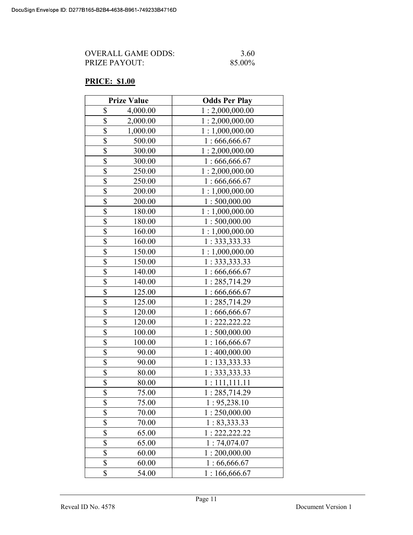| OVERALL GAME ODDS:   | 3.60   |
|----------------------|--------|
| <b>PRIZE PAYOUT:</b> | 85.00% |

## PRICE: \$1.00

| <b>Prize Value</b>        | <b>Odds Per Play</b> |
|---------------------------|----------------------|
| \$<br>4,000.00            | 1:2,000,000.00       |
| \$<br>2,000.00            | 1:2,000,000.00       |
| \$<br>1,000.00            | 1:1,000,000.00       |
| \$<br>500.00              | 1:666,666.67         |
| \$<br>300.00              | 1:2,000,000.00       |
| $\overline{\$}$<br>300.00 | 1:666,666.67         |
| \$<br>250.00              | 1:2,000,000.00       |
| \$<br>250.00              | 1:666,666.67         |
| \$<br>200.00              | 1:1,000,000.00       |
| \$<br>200.00              | 1:500,000.00         |
| \$<br>180.00              | 1:1,000,000.00       |
| \$<br>180.00              | 1:500,000.00         |
| \$<br>160.00              | 1:1,000,000.00       |
| $\overline{\$}$<br>160.00 | 1: 333, 333.33       |
| \$<br>150.00              | 1:1,000,000.00       |
| \$<br>150.00              | 1: 333, 333.33       |
| \$<br>140.00              | 1:666,666.67         |
| \$<br>140.00              | 1:285,714.29         |
| \$<br>125.00              | 1:666,666.67         |
| \$<br>125.00              | 1:285,714.29         |
| \$<br>120.00              | 1:666,666.67         |
| \$<br>120.00              | 1: 222, 222.22       |
| \$<br>100.00              | 1:500,000.00         |
| \$<br>100.00              | 1:166,666.67         |
| \$<br>90.00               | 1:400,000.00         |
| \$<br>90.00               | 1: 133,333.33        |
| \$<br>80.00               | 1: 333, 333.33       |
| \$<br>80.00               | 1:111,111.11         |
| \$<br>75.00               | 1:285,714.29         |
| \$<br>75.00               | 1: 95,238.10         |
| \$<br>70.00               | 1:250,000.00         |
| \$<br>70.00               | 1: 83,333.33         |
| \$<br>65.00               | 1: 222, 222.22       |
| \$<br>65.00               | 1:74,074.07          |
| \$<br>60.00               | 1:200,000.00         |
| \$<br>60.00               | 1:66,666.67          |
| \$<br>54.00               | 1:166,666.67         |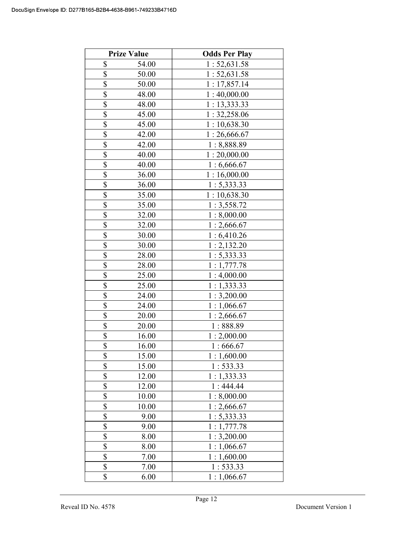|                 | <b>Prize Value</b> | <b>Odds Per Play</b> |
|-----------------|--------------------|----------------------|
| \$              | 54.00              | 1: 52, 631.58        |
| \$              | 50.00              | 1:52,631.58          |
| \$              | 50.00              | 1:17,857.14          |
| \$              | 48.00              | 1:40,000.00          |
| \$              | 48.00              | 1:13,333.33          |
| $\overline{\$}$ | 45.00              | 1:32,258.06          |
| \$              | 45.00              | 1:10,638.30          |
| \$              | 42.00              | 1:26,666.67          |
| \$              | 42.00              | 1:8,888.89           |
| \$              | 40.00              | 1:20,000.00          |
| \$              | 40.00              | 1:6,666.67           |
| \$              | 36.00              | 1:16,000.00          |
| \$              | 36.00              | 1: 5,333.33          |
| \$              | 35.00              | 1:10,638.30          |
| \$              | 35.00              | 1:3,558.72           |
| \$              | 32.00              | 1:8,000.00           |
| \$              | 32.00              | 1:2,666.67           |
| \$              | 30.00              | 1:6,410.26           |
| \$              | 30.00              | 1:2,132.20           |
| \$              | 28.00              | 1: 5,333.33          |
| \$              | 28.00              | 1:1,777.78           |
| \$              | 25.00              | 1:4,000.00           |
| \$              | 25.00              | 1:1,333.33           |
| \$              | 24.00              | 1:3,200.00           |
| \$              | 24.00              | 1:1,066.67           |
| \$              | 20.00              | 1:2,666.67           |
| \$              | 20.00              | 1:888.89             |
| \$              | 16.00              | 1:2,000.00           |
| \$              | 16.00              | 1:666.67             |
| \$              | 15.00              | 1:1,600.00           |
| \$              | 15.00              | 1: 533.33            |
| \$              | 12.00              | 1:1,333.33           |
| \$              | 12.00              | 1:444.44             |
| \$              | 10.00              | 1:8,000.00           |
| \$              | 10.00              | 1:2,666.67           |
| \$              | 9.00               | 1: 5,333.33          |
| $\overline{\$}$ | 9.00               | 1:1,777.78           |
| \$              | 8.00               | 1:3,200.00           |
| \$              | 8.00               | 1:1,066.67           |
| \$              | 7.00               | 1:1,600.00           |
| \$              | 7.00               | 1: 533.33            |
| \$              | 6.00               | 1:1,066.67           |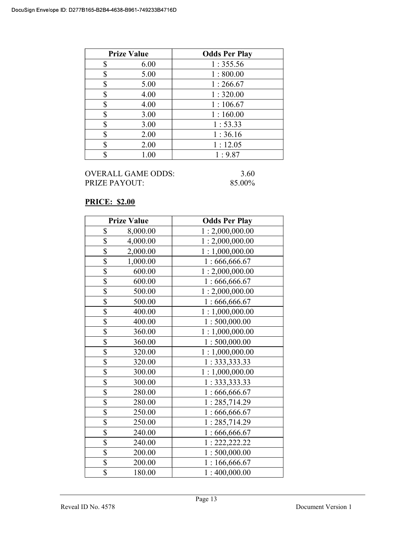| <b>Prize Value</b> | <b>Odds Per Play</b> |
|--------------------|----------------------|
| \$<br>6.00         | 1:355.56             |
| \$<br>5.00         | 1:800.00             |
| \$<br>5.00         | 1:266.67             |
| \$<br>4.00         | 1:320.00             |
| \$<br>4.00         | 1:106.67             |
| \$<br>3.00         | 1:160.00             |
| \$<br>3.00         | 1:53.33              |
| \$<br>2.00         | 1:36.16              |
| \$<br>2.00         | 1:12.05              |
| \$<br>1.00         | 1:9.87               |

## PRICE: \$2.00

|                 | <b>Prize Value</b> | <b>Odds Per Play</b> |
|-----------------|--------------------|----------------------|
| \$              | 8,000.00           | 1:2,000,000.00       |
| \$              | 4,000.00           | 1:2,000,000.00       |
| \$              | 2,000.00           | 1:1,000,000.00       |
| $\overline{\$}$ | 1,000.00           | 1:666,666.67         |
| \$              | 600.00             | 1:2,000,000.00       |
| \$              | 600.00             | 1:666,666.67         |
| \$              | 500.00             | 1:2,000,000.00       |
| \$              | 500.00             | 1:666,666.67         |
| $\overline{\$}$ | 400.00             | 1:1,000,000.00       |
| \$              | 400.00             | 1:500,000.00         |
| \$              | 360.00             | 1:1,000,000.00       |
| \$              | 360.00             | 1:500,000.00         |
| \$              | 320.00             | 1:1,000,000.00       |
| \$              | 320.00             | 1: 333, 333.33       |
| \$              | 300.00             | 1:1,000,000.00       |
| $\overline{\$}$ | 300.00             | 1:333,333.33         |
| \$              | 280.00             | 1:666,666.67         |
| \$              | 280.00             | 1:285,714.29         |
| $\overline{\$}$ | 250.00             | 1:666,666.67         |
| \$              | 250.00             | 1:285,714.29         |
| \$              | 240.00             | 1:666,666.67         |
| \$              | 240.00             | 1: 222, 222.22       |
| $\overline{\$}$ | 200.00             | 1:500,000.00         |
| \$              | 200.00             | 1:166,666.67         |
| \$              | 180.00             | 1:400,000.00         |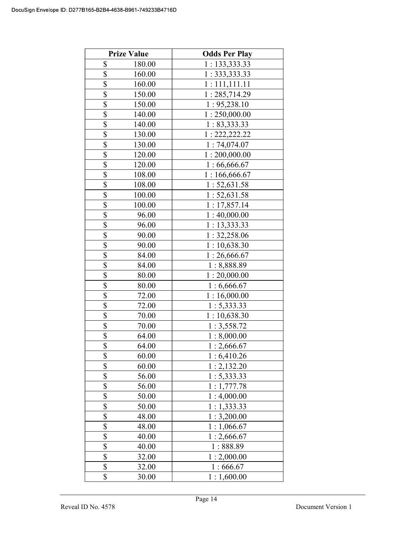|                         | <b>Prize Value</b> | <b>Odds Per Play</b> |
|-------------------------|--------------------|----------------------|
| \$                      | 180.00             | 1: 133,333.33        |
| \$                      | 160.00             | 1: 333, 333.33       |
| \$                      | 160.00             | 1:111,111.11         |
| \$                      | 150.00             | 1:285,714.29         |
| \$                      | 150.00             | 1: 95,238.10         |
| $\overline{\mathbb{S}}$ | 140.00             | 1:250,000.00         |
| \$                      | 140.00             | 1: 83,333.33         |
| $\overline{\mathbb{S}}$ | 130.00             | 1: 222, 222.22       |
| \$                      | 130.00             | 1:74,074.07          |
| \$                      | 120.00             | 1:200,000.00         |
| \$                      | 120.00             | 1:66,666.67          |
| \$                      | 108.00             | 1:166,666.67         |
| \$                      | 108.00             | 1:52,631.58          |
| \$                      | 100.00             | 1: 52, 631.58        |
| \$                      | 100.00             | 1: 17,857.14         |
| \$                      | 96.00              | 1:40,000.00          |
| \$                      | 96.00              | 1: 13, 333.33        |
| \$                      | 90.00              | 1: 32,258.06         |
| \$                      | 90.00              | 1:10,638.30          |
| \$                      | 84.00              | 1:26,666.67          |
| \$                      | 84.00              | 1:8,888.89           |
| \$                      | 80.00              | 1:20,000.00          |
| \$                      | 80.00              | 1:6,666.67           |
| \$                      | 72.00              | 1:16,000.00          |
| \$                      | 72.00              | 1: 5,333.33          |
| \$                      | 70.00              | 1:10,638.30          |
| \$                      | 70.00              | 1:3,558.72           |
| \$                      | 64.00              | 1:8,000.00           |
| \$                      | 64.00              | 1:2,666.67           |
| \$                      | 60.00              | 1:6,410.26           |
| \$                      | 60.00              | 1:2,132.20           |
| \$                      | 56.00              | 1: 5,333.33          |
| \$                      | 56.00              | 1:1,777.78           |
| \$                      | 50.00              | 1:4,000.00           |
| \$                      | 50.00              | 1:1,333.33           |
| \$                      | 48.00              | 1:3,200.00           |
| $\overline{\$}$         | 48.00              | 1:1,066.67           |
| \$                      | 40.00              | 1:2,666.67           |
| \$                      | 40.00              | 1:888.89             |
| \$                      | 32.00              | 1:2,000.00           |
| \$                      | 32.00              | 1:666.67             |
| \$                      | 30.00              | 1:1,600.00           |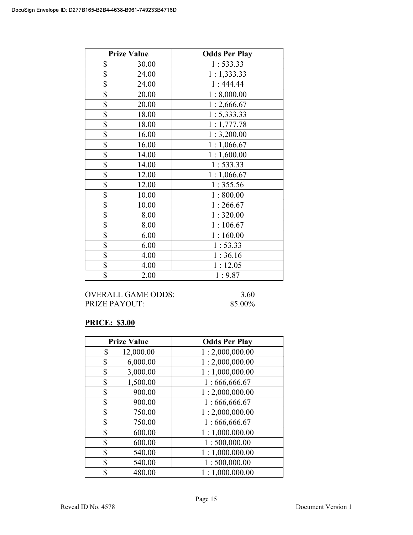|                 | <b>Prize Value</b> | <b>Odds Per Play</b> |
|-----------------|--------------------|----------------------|
| \$              | 30.00              | 1:533.33             |
| \$              | 24.00              | 1:1,333.33           |
| \$              | 24.00              | 1:444.44             |
| \$              | 20.00              | 1:8,000.00           |
| \$              | 20.00              | 1:2,666.67           |
| $\overline{\$}$ | 18.00              | 1: 5,333.33          |
| \$              | 18.00              | 1:1,777.78           |
| \$              | 16.00              | 1:3,200.00           |
| \$              | 16.00              | 1:1,066.67           |
| \$              | 14.00              | 1:1,600.00           |
| \$              | 14.00              | 1:533.33             |
| \$              | 12.00              | 1:1,066.67           |
| \$              | 12.00              | 1:355.56             |
| $\overline{\$}$ | 10.00              | 1:800.00             |
| \$              | 10.00              | 1:266.67             |
| \$              | 8.00               | 1:320.00             |
| \$              | 8.00               | 1:106.67             |
| \$              | 6.00               | 1:160.00             |
| $\overline{\$}$ | 6.00               | 1:53.33              |
| \$              | 4.00               | 1:36.16              |
| \$              | 4.00               | 1:12.05              |
| \$              | 2.00               | 1:9.87               |

### OVERALL GAME ODDS: 3.60 PRIZE PAYOUT: 85.00%

### PRICE: \$3.00

| <b>Prize Value</b> | <b>Odds Per Play</b> |
|--------------------|----------------------|
| 12,000.00<br>\$    | 1:2,000,000.00       |
| 6,000.00<br>\$     | 1:2,000,000.00       |
| 3,000.00<br>\$     | 1:1,000,000.00       |
| \$<br>1,500.00     | 1:666,666.67         |
| \$<br>900.00       | 1:2,000,000.00       |
| \$<br>900.00       | 1:666,666.67         |
| \$<br>750.00       | 1:2,000,000.00       |
| \$<br>750.00       | 1:666,666.67         |
| \$<br>600.00       | 1:1,000,000.00       |
| \$<br>600.00       | 1:500,000.00         |
| \$<br>540.00       | 1:1,000,000.00       |
| \$<br>540.00       | 1:500,000.00         |
| \$<br>480.00       | 1:1,000,000.00       |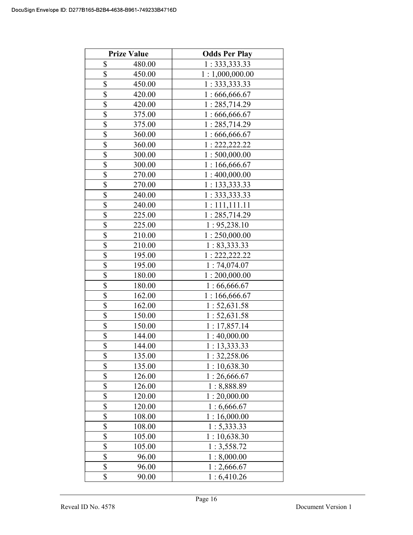|                         | <b>Prize Value</b> | <b>Odds Per Play</b> |
|-------------------------|--------------------|----------------------|
| \$                      | 480.00             | 1: 333, 333.33       |
| \$                      | 450.00             | 1:1,000,000.00       |
| \$                      | 450.00             | 1: 333, 333.33       |
| \$                      | 420.00             | 1:666,666.67         |
| \$                      | 420.00             | 1:285,714.29         |
| $\overline{\mathbb{S}}$ | 375.00             | 1:666,666.67         |
| \$                      | 375.00             | 1:285,714.29         |
| \$                      | 360.00             | 1:666,666.67         |
| \$                      | 360.00             | 1: 222, 222.22       |
| \$                      | 300.00             | 1:500,000.00         |
| \$                      | 300.00             | 1:166,666.67         |
| \$                      | 270.00             | 1:400,000.00         |
| $\overline{\mathbb{S}}$ | 270.00             | 1: 133, 333.33       |
| $\overline{\mathbb{S}}$ | 240.00             | 1: 333, 333.33       |
| $\overline{\mathbb{S}}$ | 240.00             | 1:111,111.11         |
| $\overline{\mathbb{S}}$ | 225.00             | 1:285,714.29         |
| \$                      | 225.00             | 1: 95,238.10         |
| \$                      | 210.00             | 1:250,000.00         |
| \$                      | 210.00             | 1: 83,333.33         |
| \$                      | 195.00             | 1: 222, 222.22       |
| \$                      | 195.00             | 1:74,074.07          |
| \$                      | 180.00             | 1:200,000.00         |
| \$                      | 180.00             | 1:66,666.67          |
| \$                      | 162.00             | 1:166,666.67         |
| \$                      | 162.00             | 1:52,631.58          |
| \$                      | 150.00             | 1: 52, 631.58        |
| \$                      | 150.00             | 1:17,857.14          |
| \$                      | 144.00             | 1:40,000.00          |
| \$                      | 144.00             | 1:13,333.33          |
| \$                      | 135.00             | 1: 32,258.06         |
| \$                      | 135.00             | 10,638.30            |
| \$                      | 126.00             | 1:26,666.67          |
| \$                      | 126.00             | : 8,888.89           |
| \$                      | 120.00             | 1:20,000.00          |
| \$                      | 120.00             | : 6,666.67           |
| \$                      | 108.00             | 1:16,000.00          |
| $\overline{\mathbb{S}}$ | 108.00             | 1:5,333.33           |
| \$                      | 105.00             | 1:10,638.30          |
| \$                      | 105.00             | 1:3,558.72           |
| \$                      | 96.00              | 1:8,000.00           |
| \$                      | 96.00              | 1:2,666.67           |
| \$                      | 90.00              | 1:6,410.26           |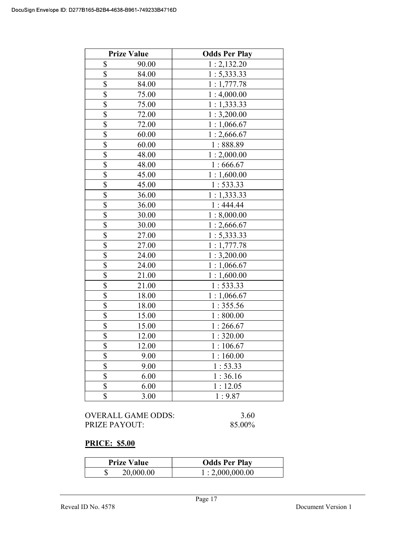|                          | <b>Prize Value</b> | <b>Odds Per Play</b> |
|--------------------------|--------------------|----------------------|
| \$                       | 90.00              | 1:2,132.20           |
| \$                       | 84.00              | 1: 5,333.33          |
| \$                       | 84.00              | 1:1,777.78           |
| \$                       | 75.00              | 1:4,000.00           |
| $\overline{\$}$          | 75.00              | 1:1,333.33           |
| \$                       | 72.00              | 1:3,200.00           |
| \$                       | 72.00              | 1:1,066.67           |
| \$                       | 60.00              | 1:2,666.67           |
| $\overline{\mathcal{S}}$ | 60.00              | 1:888.89             |
| $\overline{\$}$          | 48.00              | 1:2,000.00           |
| \$                       | 48.00              | 1:666.67             |
| \$                       | 45.00              | 1:1,600.00           |
| \$                       | 45.00              | 1: 533.33            |
| \$                       | 36.00              | 1:1,333.33           |
| \$                       | 36.00              | 1:444.44             |
| \$                       | 30.00              | 1:8,000.00           |
| \$                       | 30.00              | 1:2,666.67           |
| $\overline{\$}$          | 27.00              | 1:5,333.33           |
| $\overline{\$}$          | 27.00              | 1:1,777.78           |
| \$                       | 24.00              | 1:3,200.00           |
| \$                       | 24.00              | 1:1,066.67           |
| \$                       | 21.00              | 1:1,600.00           |
| \$                       | 21.00              | 1:533.33             |
| \$                       | 18.00              | 1:1,066.67           |
| \$                       | 18.00              | 1:355.56             |
| \$                       | 15.00              | 1:800.00             |
| \$                       | 15.00              | 1:266.67             |
| \$                       | 12.00              | 1:320.00             |
| \$                       | 12.00              | 1:106.67             |
| \$                       | 9.00               | 1:160.00             |
| \$                       | 9.00               | 1:53.33              |
| \$                       | 6.00               | 1:36.16              |
| \$                       | 6.00               | 1:12.05              |
| \$                       | 3.00               | 1:9.87               |

| OVERALL GAME ODDS: | 3.60   |
|--------------------|--------|
| PRIZE PAYOUT:      | 85.00% |

## PRICE: \$5.00

| <b>Prize Value</b> | <b>Odds Per Play</b> |
|--------------------|----------------------|
| 20,000.00          | 1:2,000,000.00       |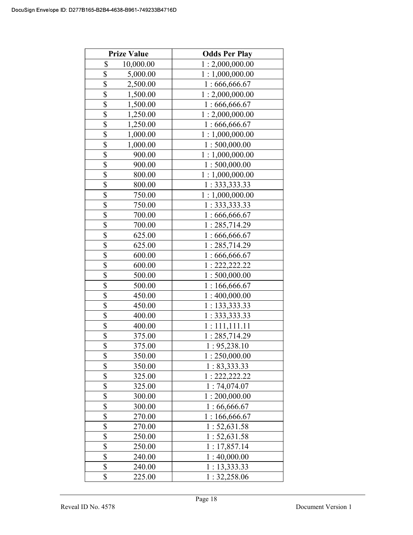|                         | <b>Prize Value</b> | <b>Odds Per Play</b> |
|-------------------------|--------------------|----------------------|
| \$                      | 10,000.00          | 1:2,000,000.00       |
| $\overline{\$}$         | 5,000.00           | 1:1,000,000.00       |
| $\overline{\$}$         | 2,500.00           | 1:666,666.67         |
| \$                      | 1,500.00           | 1:2,000,000.00       |
| $\overline{\$}$         | 1,500.00           | 1:666,666.67         |
| \$                      | 1,250.00           | 1:2,000,000.00       |
| \$                      | 1,250.00           | 1:666,666.67         |
| \$                      | 1,000.00           | 1:1,000,000.00       |
| \$                      | 1,000.00           | 1:500,000.00         |
| $\overline{\$}$         | 900.00             | 1:1,000,000.00       |
| \$                      | 900.00             | 1:500,000.00         |
| $\overline{\mathbb{S}}$ | 800.00             | 1:1,000,000.00       |
| \$                      | 800.00             | 1: 333, 333.33       |
| \$                      | 750.00             | 1:1,000,000.00       |
| \$                      | 750.00             | 1: 333, 333.33       |
| \$                      | 700.00             | 1:666,666.67         |
| \$                      | 700.00             | 1:285,714.29         |
| $\overline{\mathbb{S}}$ | 625.00             | 1:666,666.67         |
| $\overline{\mathbb{S}}$ | 625.00             | 1:285,714.29         |
| \$                      | 600.00             | 1:666,666.67         |
| \$                      | 600.00             | 1: 222, 222.22       |
| \$                      | 500.00             | 1:500,000.00         |
| \$                      | 500.00             | 1:166,666.67         |
| \$                      | 450.00             | 1:400,000.00         |
| \$                      | 450.00             | 1: 133, 333.33       |
| \$                      | 400.00             | 1: 333, 333.33       |
| \$                      | 400.00             | 1:111,111.11         |
| \$                      | 375.00             | 1:285,714.29         |
| $\overline{\mathbb{S}}$ | 375.00             | 1:95,238.10          |
| \$                      | 350.00             | 1:250,000.00         |
| \$                      | 350.00             | 1: 83,333.33         |
| \$                      | 325.00             | 1: 222, 222.22       |
| \$                      | 325.00             | 1:74,074.07          |
| \$                      | 300.00             | 1:200,000.00         |
| $\overline{\mathbb{S}}$ | 300.00             | 1:66,666.67          |
| \$                      | 270.00             | 1:166,666.67         |
| \$                      | 270.00             | 1: 52, 631.58        |
| \$                      | 250.00             | 1:52,631.58          |
| \$                      | 250.00             | 1: 17,857.14         |
| \$                      | 240.00             | 1:40,000.00          |
| \$                      | 240.00             | 1: 13, 333.33        |
| \$                      | 225.00             | 1: 32,258.06         |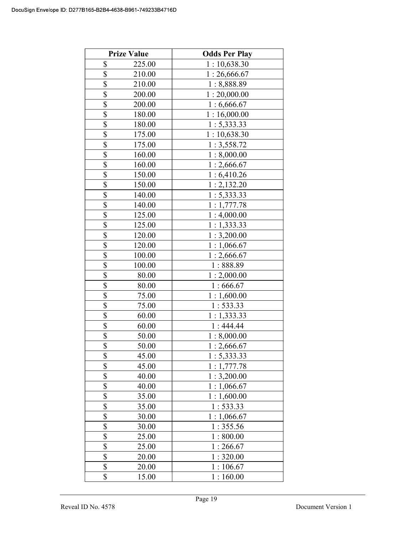|                         | <b>Prize Value</b> | <b>Odds Per Play</b> |
|-------------------------|--------------------|----------------------|
| \$                      | 225.00             | 1:10,638.30          |
| \$                      | 210.00             | 1:26,666.67          |
| \$                      | 210.00             | 1:8,888.89           |
| \$                      | 200.00             | 1:20,000.00          |
| \$                      | 200.00             | 1:6,666.67           |
| \$                      | 180.00             | 1:16,000.00          |
| \$                      | 180.00             | 1: 5,333.33          |
| $\overline{\$}$         | 175.00             | 1:10,638.30          |
| \$                      | 175.00             | 1:3,558.72           |
| \$                      | 160.00             | 1:8,000.00           |
| \$                      | 160.00             | 1:2,666.67           |
| \$                      | 150.00             | 1:6,410.26           |
| \$                      | 150.00             | 1:2,132.20           |
| $\overline{\$}$         | 140.00             | 1: 5,333.33          |
| $\overline{\mathbb{S}}$ | 140.00             | 1:1,777.78           |
| $\overline{\mathbb{S}}$ | 125.00             | 1:4,000.00           |
| \$                      | 125.00             | 1:1,333.33           |
| \$                      | 120.00             | 1:3,200.00           |
| \$                      | 120.00             | 1:1,066.67           |
| \$                      | 100.00             | 1:2,666.67           |
| \$                      | 100.00             | 1:888.89             |
| $\overline{\$}$         | 80.00              | 1:2,000.00           |
| \$                      | 80.00              | 1:666.67             |
| \$                      | 75.00              | 1:1,600.00           |
| \$                      | 75.00              | 1: 533.33            |
| \$                      | 60.00              | 1:1,333.33           |
| \$                      | 60.00              | 1:444.44             |
| \$                      | 50.00              | 1:8,000.00           |
| $\overline{\mathbb{S}}$ | 50.00              | 1:2,666.67           |
| \$                      | 45.00              | 1: 5,333.33          |
| \$                      | 45.00              | 1:1,777.78           |
| \$                      | 40.00              | 1:3,200.00           |
| \$                      | 40.00              | 1:1,066.67           |
| \$                      | 35.00              | 1:1,600.00           |
| \$                      | 35.00              | 1: 533.33            |
| \$                      | 30.00              | 1:1,066.67           |
| $\overline{\mathbb{S}}$ | 30.00              | 1:355.56             |
| \$                      | 25.00              | 1:800.00             |
| \$                      | 25.00              | 1:266.67             |
| \$                      | 20.00              | 1:320.00             |
| \$                      | 20.00              | 1:106.67             |
| \$                      | 15.00              | 1:160.00             |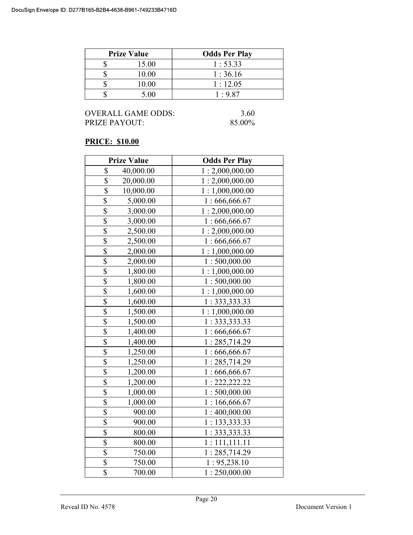| <b>Prize Value</b> | <b>Odds Per Play</b> |
|--------------------|----------------------|
| 15.00              | 1:53.33              |
| 10.00              | 1:36.16              |
| 10.00              | 1:12.05              |
| 5 NO               | 1:9.87               |

### PRICE: \$10.00

| <b>Prize Value</b>                  | <b>Odds Per Play</b> |
|-------------------------------------|----------------------|
| \$<br>40,000.00                     | 1:2,000,000.00       |
| \$<br>20,000.00                     | 1:2,000,000.00       |
| \$<br>10,000.00                     | 1:1,000,000.00       |
| \$<br>5,000.00                      | 1:666,666.67         |
| $\overline{\$}$<br>3,000.00         | 1:2,000,000.00       |
| $\overline{\mathbb{S}}$<br>3,000.00 | 1:666,666.67         |
| $\overline{\$}$<br>2,500.00         | 1:2,000,000.00       |
| $\overline{\mathbb{S}}$<br>2,500.00 | 1:666,666.67         |
| \$<br>2,000.00                      | 1:1,000,000.00       |
| $\overline{\mathbb{S}}$<br>2,000.00 | 1:500,000.00         |
| $\overline{\$}$<br>1,800.00         | 1:1,000,000.00       |
| $\overline{\$}$<br>1,800.00         | 1:500,000.00         |
| \$<br>1,600.00                      | 1:1,000,000.00       |
| $\overline{\$}$<br>1,600.00         | 1: 333, 333.33       |
| \$<br>1,500.00                      | 1:1,000,000.00       |
| \$<br>1,500.00                      | 1:333,333.33         |
| $\overline{\$}$<br>1,400.00         | 1:666,666.67         |
| \$<br>1,400.00                      | 1:285,714.29         |
| \$<br>1,250.00                      | 1:666,666.67         |
| \$<br>1,250.00                      | 1:285,714.29         |
| $\overline{\mathbb{S}}$<br>1,200.00 | 1:666,666.67         |
| $\overline{\$}$<br>1,200.00         | 1: 222, 222.22       |
| $\overline{\$}$<br>1,000.00         | 1:500,000.00         |
| \$<br>1,000.00                      | 1:166,666.67         |
| \$<br>900.00                        | 1:400,000.00         |
| $\overline{\$}$<br>900.00           | 1: 133,333.33        |
| $\frac{1}{2}$<br>800.00             | 1:333,333.33         |
| $\overline{\$}$<br>800.00           | 1:111,111.11         |
| $\overline{\$}$<br>750.00           | 1:285,714.29         |
| \$<br>750.00                        | 1: 95,238.10         |
| $\overline{\$}$<br>700.00           | 1:250,000.00         |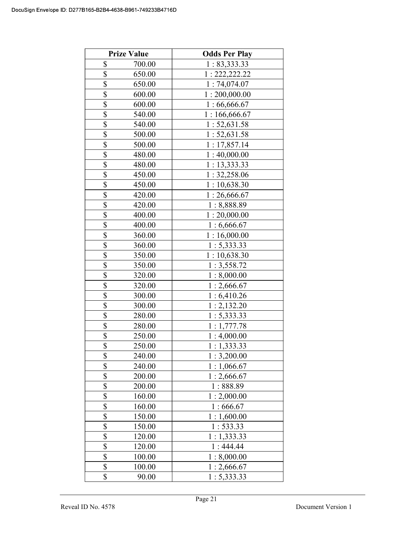|                         | <b>Prize Value</b> | <b>Odds Per Play</b> |
|-------------------------|--------------------|----------------------|
| \$                      | 700.00             | 1: 83,333.33         |
| $\overline{\$}$         | 650.00             | 1: 222, 222.22       |
| \$                      | 650.00             | 1:74,074.07          |
| $\overline{\$}$         | 600.00             | 1:200,000.00         |
| $\overline{\$}$         | 600.00             | 1:66,666.67          |
| \$                      | 540.00             | 1:166,666.67         |
| \$                      | 540.00             | 1:52,631.58          |
| \$                      | 500.00             | 1:52,631.58          |
| \$                      | 500.00             | 1: 17,857.14         |
| $\overline{\mathbb{S}}$ | 480.00             | 1:40,000.00          |
| $\overline{\$}$         | 480.00             | 1:13,333.33          |
| $\overline{\$}$         | 450.00             | 1: 32,258.06         |
| \$                      | 450.00             | 1:10,638.30          |
| \$                      | 420.00             | 1:26,666.67          |
| \$                      | 420.00             | 1:8,888.89           |
| \$                      | 400.00             | 1:20,000.00          |
| \$                      | 400.00             | 1:6,666.67           |
| \$                      | 360.00             | 1:16,000.00          |
| \$                      | 360.00             | 1:5,333.33           |
| \$                      | 350.00             | 1:10,638.30          |
| \$                      | 350.00             | 1:3,558.72           |
| \$                      | 320.00             | 1:8,000.00           |
| \$                      | 320.00             | 1:2,666.67           |
| \$                      | 300.00             | 1:6,410.26           |
| \$                      | 300.00             | 1:2,132.20           |
| \$                      | 280.00             | 1: 5,333.33          |
| \$                      | 280.00             | 1:1,777.78           |
| \$                      | 250.00             | 1:4,000.00           |
| \$                      | 250.00             | 1:1,333.33           |
| \$                      | 240.00             | 1:3,200.00           |
| \$                      | 240.00             | 1:1,066.67           |
| \$                      | 200.00             | 1:2,666.67           |
| \$                      | 200.00             | 1:888.89             |
| $\overline{\$}$         | 160.00             | 1:2,000.00           |
| $\overline{\$}$         | 160.00             | 1:666.67             |
| \$                      | 150.00             | 1:1,600.00           |
| \$                      | 150.00             | 1: 533.33            |
| \$                      | 120.00             | 1:1,333.33           |
| \$                      | 120.00             | 1:444.44             |
| \$                      | 100.00             | 1:8,000.00           |
| $\overline{\$}$         | 100.00             | 1:2,666.67           |
| \$                      | 90.00              | 1:5,333.33           |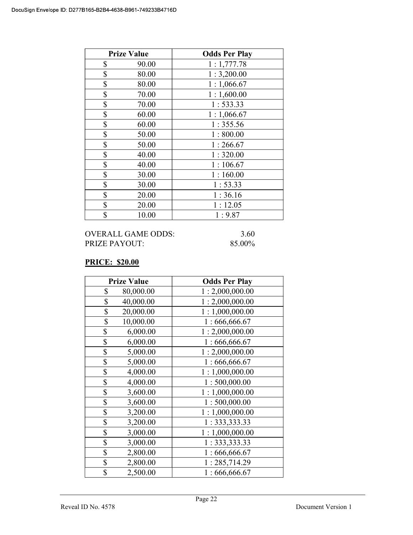| <b>Prize Value</b> | <b>Odds Per Play</b> |
|--------------------|----------------------|
| \$<br>90.00        | 1:1,777.78           |
| \$<br>80.00        | 1:3,200.00           |
| \$<br>80.00        | 1:1,066.67           |
| \$<br>70.00        | 1:1,600.00           |
| \$<br>70.00        | 1: 533.33            |
| \$<br>60.00        | 1:1,066.67           |
| \$<br>60.00        | 1:355.56             |
| \$<br>50.00        | 1:800.00             |
| \$<br>50.00        | 1:266.67             |
| \$<br>40.00        | 1:320.00             |
| \$<br>40.00        | 1:106.67             |
| \$<br>30.00        | 1:160.00             |
| \$<br>30.00        | 1:53.33              |
| \$<br>20.00        | 1:36.16              |
| \$<br>20.00        | 1:12.05              |
| \$<br>10.00        | 1:9.87               |

## PRICE: \$20.00

| <b>Prize Value</b> | <b>Odds Per Play</b> |
|--------------------|----------------------|
| \$<br>80,000.00    | 1:2,000,000.00       |
| \$<br>40,000.00    | 1:2,000,000.00       |
| \$<br>20,000.00    | 1:1,000,000.00       |
| \$<br>10,000.00    | 1:666,666.67         |
| \$<br>6,000.00     | 1:2,000,000.00       |
| \$<br>6,000.00     | 1:666,666.67         |
| \$<br>5,000.00     | 1:2,000,000.00       |
| \$<br>5,000.00     | 1:666,666.67         |
| \$<br>4,000.00     | 1:1,000,000.00       |
| \$<br>4,000.00     | 1:500,000.00         |
| \$<br>3,600.00     | 1:1,000,000.00       |
| \$<br>3,600.00     | 1:500,000.00         |
| \$<br>3,200.00     | 1:1,000,000.00       |
| \$<br>3,200.00     | 1: 333, 333.33       |
| \$<br>3,000.00     | 1:1,000,000.00       |
| \$<br>3,000.00     | 1: 333, 333.33       |
| \$<br>2,800.00     | 1:666,666.67         |
| \$<br>2,800.00     | 1:285,714.29         |
| \$<br>2,500.00     | 1:666,666.67         |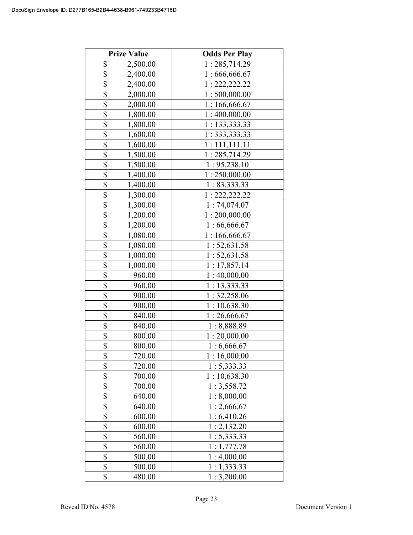|                         | <b>Prize Value</b> | <b>Odds Per Play</b> |
|-------------------------|--------------------|----------------------|
| \$                      | 2,500.00           | 1:285,714.29         |
| \$                      | 2,400.00           | 1:666,666.67         |
| \$                      | 2,400.00           | 1: 222, 222.22       |
| \$                      | 2,000.00           | 1:500,000.00         |
| \$                      | 2,000.00           | 1:166,666.67         |
| \$                      | 1,800.00           | 1:400,000.00         |
| \$                      | 1,800.00           | 1: 133,333.33        |
| \$                      | 1,600.00           | 1:333,333.33         |
| \$                      | 1,600.00           | 1:111,111.11         |
| \$                      | 1,500.00           | 1:285,714.29         |
| \$                      | 1,500.00           | 1: 95,238.10         |
| \$                      | 1,400.00           | 1:250,000.00         |
| \$                      | 1,400.00           | 1: 83,333.33         |
| \$                      | 1,300.00           | 1: 222, 222.22       |
| \$                      | 1,300.00           | 1:74,074.07          |
| \$                      | 1,200.00           | 1:200,000.00         |
| \$                      | 1,200.00           | 1:66,666.67          |
| \$                      | 1,080.00           | 1:166,666.67         |
| \$                      | 1,080.00           | 1:52,631.58          |
| \$                      | 1,000.00           | 1: 52, 631.58        |
| \$                      | 1,000.00           | 1:17,857.14          |
| \$                      | 960.00             | 1:40,000.00          |
| \$                      | 960.00             | 1:13,333.33          |
| \$                      | 900.00             | 1: 32,258.06         |
| \$                      | 900.00             | 1:10,638.30          |
| \$                      | 840.00             | 1:26,666.67          |
| \$                      | 840.00             | 1:8,888.89           |
| \$                      | 800.00             | 1:20,000.00          |
| $\overline{\mathbb{S}}$ | 800.00             | 1:6,666.67           |
| \$                      | 720.00             | 1:16,000.00          |
| \$                      | 720.00             | 1: 5,333.33          |
| \$                      | 700.00             | 1:10,638.30          |
| \$                      | 700.00             | 1:3,558.72           |
| \$                      | 640.00             | 1:8,000.00           |
| \$                      | 640.00             | 1:2,666.67           |
| \$                      | 600.00             | 1:6,410.26           |
| \$                      | 600.00             | 1:2,132.20           |
| \$                      | 560.00             | 1: 5,333.33          |
| \$                      | 560.00             | 1:1,777.78           |
| \$                      | 500.00             | 1:4,000.00           |
| \$                      | 500.00             | 1:1,333.33           |
| \$                      | 480.00             | 1:3,200.00           |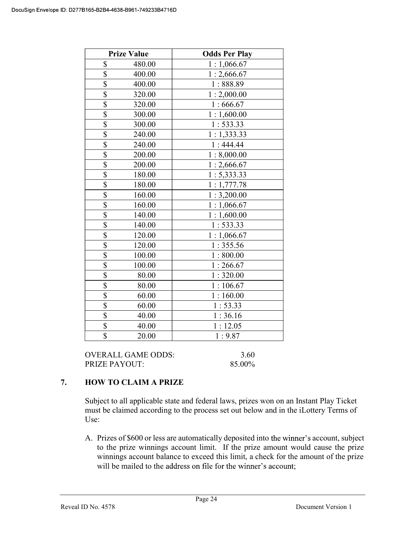|                         | <b>Prize Value</b> | <b>Odds Per Play</b> |
|-------------------------|--------------------|----------------------|
| \$                      | 480.00             | 1:1,066.67           |
| \$                      | 400.00             | 1:2,666.67           |
| $\overline{\$}$         | 400.00             | 1:888.89             |
| \$                      | 320.00             | 1:2,000.00           |
| $\overline{\$}$         | 320.00             | 1:666.67             |
| $\overline{\mathbb{S}}$ | 300.00             | 1:1,600.00           |
| $\overline{\$}$         | 300.00             | 1:533.33             |
| \$                      | 240.00             | 1:1,333.33           |
| $\overline{\$}$         | 240.00             | 1:444.44             |
| $\overline{\$}$         | 200.00             | 1:8,000.00           |
| $\overline{\$}$         | 200.00             | 1:2,666.67           |
| $\overline{\mathbb{S}}$ | 180.00             | 1: 5,333.33          |
| $\overline{\$}$         | 180.00             | 1:1,777.78           |
| \$                      | 160.00             | 1:3,200.00           |
| $\overline{\$}$         | 160.00             | 1:1,066.67           |
| $\overline{\mathbb{S}}$ | 140.00             | 1:1,600.00           |
| $\overline{\mathbb{S}}$ | 140.00             | 1: 533.33            |
| $\overline{\$}$         | 120.00             | 1:1,066.67           |
| $\overline{\$}$         | 120.00             | 1:355.56             |
| \$                      | 100.00             | 1:800.00             |
| $\overline{\mathbb{S}}$ | 100.00             | 1:266.67             |
| \$                      | 80.00              | 1:320.00             |
| $\overline{\$}$         | 80.00              | 1:106.67             |
| \$                      | 60.00              | 1:160.00             |
| $\overline{\$}$         | 60.00              | 1:53.33              |
| $\overline{\mathbb{S}}$ | 40.00              | 1:36.16              |
| \$                      | 40.00              | 1:12.05              |
| \$                      | 20.00              | 1:9.87               |

OVERALL GAME ODDS: 3.60 PRIZE PAYOUT: 85.00%

# 7. HOW TO CLAIM A PRIZE

Subject to all applicable state and federal laws, prizes won on an Instant Play Ticket must be claimed according to the process set out below and in the iLottery Terms of Use:

A. Prizes of \$600 or less are automatically deposited into the winner's account, subject to the prize winnings account limit. If the prize amount would cause the prize winnings account balance to exceed this limit, a check for the amount of the prize will be mailed to the address on file for the winner's account;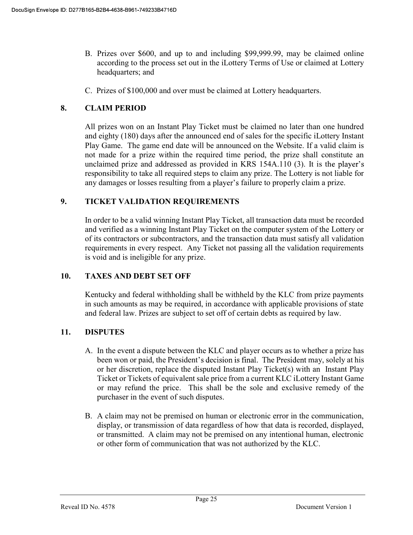- B. Prizes over \$600, and up to and including \$99,999.99, may be claimed online according to the process set out in the iLottery Terms of Use or claimed at Lottery headquarters; and
- C. Prizes of \$100,000 and over must be claimed at Lottery headquarters.

## 8. CLAIM PERIOD

 All prizes won on an Instant Play Ticket must be claimed no later than one hundred and eighty (180) days after the announced end of sales for the specific iLottery Instant Play Game. The game end date will be announced on the Website. If a valid claim is not made for a prize within the required time period, the prize shall constitute an unclaimed prize and addressed as provided in KRS 154A.110 (3). It is th responsibility to take all required steps to claim any prize. The Lottery is not liable for any damages or losses resulting from a player's failure to properly claim a prize.

## 9. TICKET VALIDATION REQUIREMENTS

In order to be a valid winning Instant Play Ticket, all transaction data must be recorded and verified as a winning Instant Play Ticket on the computer system of the Lottery or of its contractors or subcontractors, and the transaction data must satisfy all validation requirements in every respect. Any Ticket not passing all the validation requirements is void and is ineligible for any prize.

### 10. TAXES AND DEBT SET OFF

 Kentucky and federal withholding shall be withheld by the KLC from prize payments in such amounts as may be required, in accordance with applicable provisions of state and federal law. Prizes are subject to set off of certain debts as required by law.

## 11. DISPUTES

- A. In the event a dispute between the KLC and player occurs as to whether a prize has been won or paid, the President's decision is final. The President may, solely at his or her discretion, replace the disputed Instant Play Ticket(s) with an Instant Play Ticket or Tickets of equivalent sale price from a current KLC iLottery Instant Game or may refund the price. This shall be the sole and exclusive remedy of the purchaser in the event of such disputes.
- B. A claim may not be premised on human or electronic error in the communication, display, or transmission of data regardless of how that data is recorded, displayed, or transmitted. A claim may not be premised on any intentional human, electronic or other form of communication that was not authorized by the KLC.